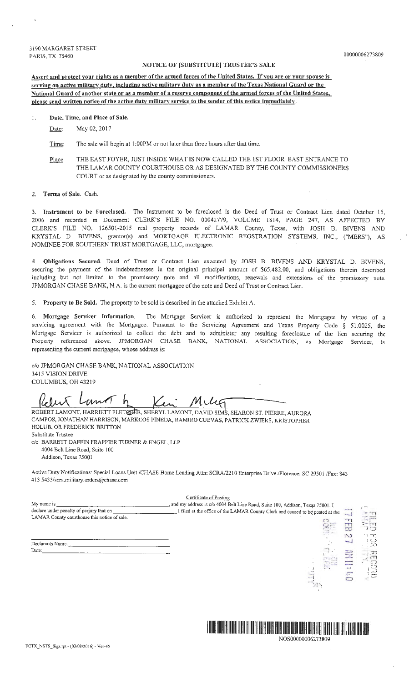3190 MARGARET STREET PARIS, TX 75460 0000006273809

## NOTICE OF [SUBSTITUTE] TRUSTEE'S SALE

Assert and protect your rights as a member of the armed forces of the United States. If you are or your spouse is serving on active military duty, including active military duty as a member of the Texas National Guard or the National Guard of another state or as a member of a reserve component of the armed forces of the United States, please send written notice of the active duty military service to the sender of this notice immediately.

1. Date, Time, and Place of Sale.

Date: May 02, 2017

- Time: The sale will begin at 1:00PM or not later than three hours after that time.
- Place THE EAST FOYER, JUST INSIDE WHAT IS NOW CALLED THE 1ST FLOOR EAST ENTRANCE TO THE LAMAR COUNTY COURTHOUSE OR AS DESIGNATED BY THE COUNTY COMMISSIONERS COURT or as designated by the county commissioners.

#### 2. Terms of Sale. Cash.

3. Instrument to be Foreclosed. The Instrument to be foreclosed is the Deed of Trust or Contract Lien dated October 16, 2006 and recorded in Document CLERK'S FILE NO. 00042779, VOLUME 1814, PAGE 247, AS AFFECTED BY CLERK'S FILE NO. 126501-2015 real property records of LAMAR County, Texas, with JOSH B. BIVENS AND KRYSTAL D. BIVENS, grantor(s) and MORTGAGE ELECTRONIC REGSTRATION SYSTEMS, INC., ("MERS"), AS NOMINEE FOR SOUTHERN TRUST MORTGAGE, LLC, mortgagee.

4. Obligations Secured. Deed of Tmst or Contract Lien executed by JOSH B. BIVENS AND KRYSTAL D. BIVENS. securing the payment of the indebtednesses in the original principal amount of \$65,482.00, and obligations therein described including but not limited to the promissory note and all modifications, renewals and extensions of the promissory note. JPMORGAN CHASE BANK, N.A. is the current mortgagee of the note and Deed of Trust or Contract Lien.

5. Property to Be Sold. The property to be sold is described in the attached Exhibit A.

6. Mortgage Servicer Information. The Mortgage Servicer is authorized to represent the Mortgagee by virtue of a servicing agreement with the Mortgagee. Pursuant to the Servicing Agreement and Texas Property Code § 51.0025, the Mortgage Servicer is authorized to collect the debt and to administer any resulting foreclosure of the lien securing the Property referenced above. JPMORGAN CHASE BANK, NATIONAL ASSOCIATION, as Mortgage Servicer, is representing the current mortgagee, whose address is:

c/o JPMORGAN CHASE BANK, NATIONAL ASSOCIATION 3415 VISION DRIVE COLUMBUS, OH 43219

 $\mathcal{M}$ 

ROBERT LAMONT, HARRIETT FLETELER, SHERYL LAMONT, DAVID SIMS, SHARON ST. PIERRE, AURORA CAMPOS, JONA THAN HARRISON, MARK.COS PINEDA, RAMIRO CUEVAS, PATRICK ZWIERS, KRISTOPHER HOLUB. OR FREDERICK BRITTON Substitute Trustee

c/o BARRETT DAFFIN FRAPPIER TURNER & ENGEL, LLP 4004 Belt Line Road, Suite 100

Addison, Texas 75001

Dec Date

Active Duty Notifications: Special Loans Unit /CHASE Home Lending Attn: SCRA/2210 Enterprise Drive /Florence, SC 29501 /Fax: 843 413 5433/scra.military.orders@chase.eom

### Certificate of Posting

| My name is                                   | , and my address is c/o 4004 Belt Line Road, Suite 100, Addison, Texas 75001. I               |                                                                         |                                          |
|----------------------------------------------|-----------------------------------------------------------------------------------------------|-------------------------------------------------------------------------|------------------------------------------|
| declare under penalty of perjury that on     | I filed at the office of the LAMAR County Clerk and caused to be posted at the                | <b>Manufacturer</b><br>$\sim$                                           | <b>TT</b>                                |
| LAMAR County courthouse this notice of sale. | $\zeta$ )<br>$C \supseteq C$<br>德信                                                            | $\overline{\phantom{0}}$<br>œ                                           | ╒═<br><b>HOLL</b><br>TT<br>$-1.88$<br>コロ |
|                                              | $\sim$                                                                                        | $\sum$                                                                  | ירר ו"<br>ਾ⊜                             |
| Deciarants Name:                             |                                                                                               |                                                                         | -23                                      |
| Date:                                        | $\mathbb{E} \left[ \mathbb{E} \left[ \mathbb{E} \right] \right]$<br>हरू पडे<br>पुर<br>gat and | 三<br><b>PERSONAL</b><br>$rac{1}{2}$<br>**<br>$\frac{1}{2}$<br>$\subset$ | 召<br>مست<br>المتحدد<br>$\subset$         |



'